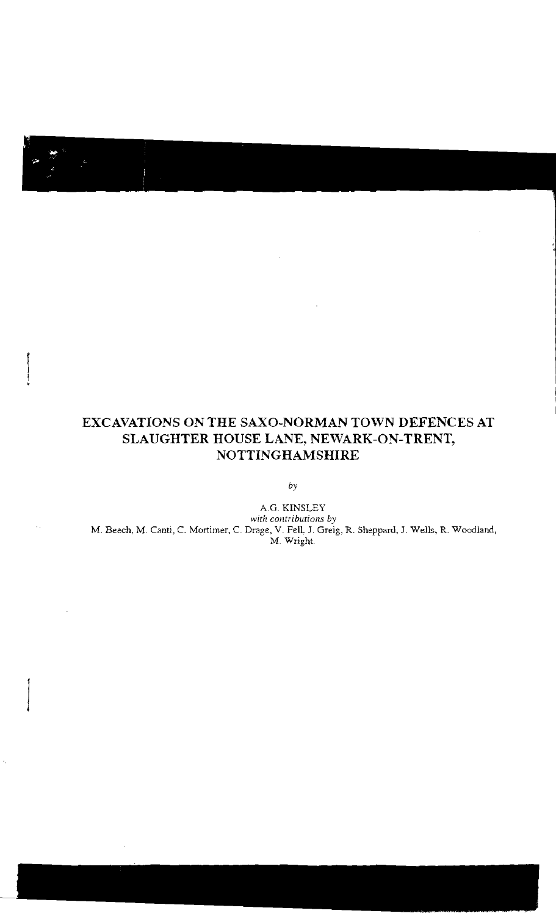# **EXCAVATIONS ON THE SAXO-NORMAN TOWN DEFENCES AT SLAUGHTER HOUSE LANE, NEWARK-ON-TRENT, NOTTINGHAMSHIRE**

*by* 

A.G. KINSLEY *with contributions by*  M. Beech, M. Canti, C. Mortimer, C. Drage, V. Fell, J. Greig, R. Sheppard, J. Wells, R. Woodland, M. Wright.

ò,

 $\bar{1}$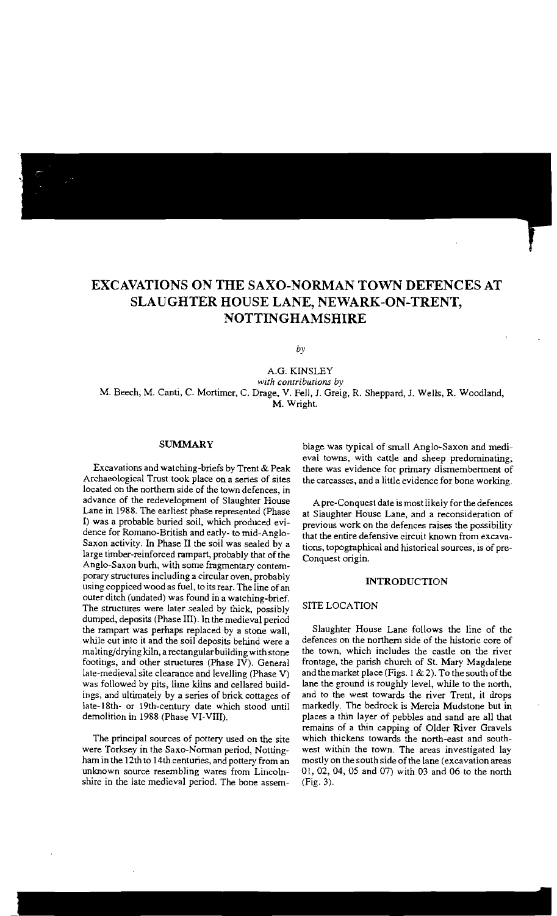# **EXCAVATIONS ON THE SAXO-NORMAN TOWN DEFENCES AT SLAUGHTER HOUSE LANE, NEWARK-ON-TRENT, NOTTINGHAMSHIRE**

*by* 

A.G. KINSLEY *with contributions by*  M. Beech, M. Canti, C. Mortimer, C. Drage, V. Fell, J. Greig, R. Sheppard, J. Wells, R. Woodland, M. Wright.

### **SUMMARY**

Excavations and watching-briefs by Trent & Peak Archaeological Trust took place on a series of sites located on the northern side of the town defences, in advance of the redevelopment of Slaughter House Lane in 1988. The earliest phase represented (Phase I) was a probable buried soil, which produced evidence for Romano-British and early- to mid-Anglo-Saxon activity. In Phase II the soil was sealed by a large timber-reinforced rampart, probably that of the Anglo-Saxon burh, with some fragmentary contemporary structures including a circular oven, probably using coppiced wood as fuel, to its rear. The line of an outer ditch (undated) was found in a watching-brief. The structures were later sealed by thick, possibly dumped, deposits (Phase III). In the medieval period the rampart was perhaps replaced by a stone wall, while cut into it and the soil deposits behind were a malting/drying kiln, a rectangular building with stone footings, and other structures (Phase  $\overline{IV}$ ). General late-medieval site clearance and levelling (Phase V) was followed by pits, lime kilns and cellared buildings, and ultimately by a series of brick cottages of late-18th- or 19th-century date which stood until demolition in 1988 (Phase VI-VIII).

The principal sources of pottery used on the site were Torksey in the Saxo-Norman period, Nottingham in the 12th to 14th centuries, and pottery from an unknown source resembling wares from Lincolnshire in the late medieval period. The bone assernblage was typical of small Anglo-Saxon and medieval towns, with cattle and sheep predominating; there was evidence for primary dismemberment of the carcasses, and a little evidence for bone working.

A pre-Conquest date ismost likely for the defences at Slaughter House Lane, and a reconsideration of previous work on the defences raises the possibility that the entire defensive circuit known from excavations, topographical and historical sources, is of pre-Conquest origin.

# **INTRODUCTION**

# SITE LOCATION

Slaughter House Lane follows the line of the defences on the northern side of the historic core of the town, which includes the castle on the river frontage, the parish church of St. Mary Magdalene and the market place (Figs.  $1 < 2$ ). To the south of the lane the ground is roughly level, while to the north, and to the west towards the river Trent, it drops markedly. The bedrock is Mercia Mudstone but in places a thin layer of pebbles and sand *ate* all that remains of a thin capping of Older River Gravels which thickens towards the north-east and southwest within the town. The areas investigated lay mostly on the south side of the lane (excavation areas 01,02,04,05 and 07) with 03 and 06 to the north (Fig. 3).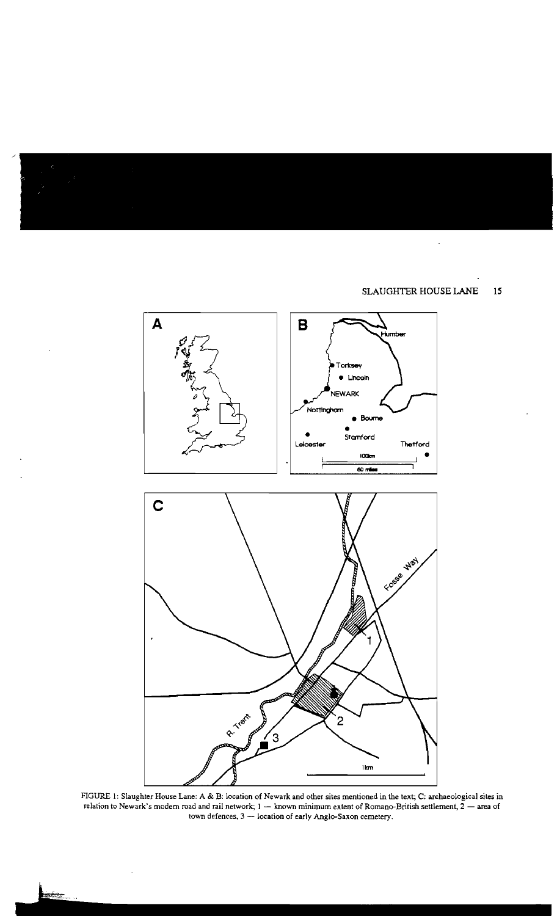

FIGURE 1: Slaughter House Lane: A & B: location of Newark and other sites mentioned in the text; C: archaeological sites in relation to Newark's modem road and rail network;  $1 -$  known minimum extent of Romano-British settlement,  $2 -$  area of town defences, 3 - location of early Anglo-Saxon cemetery.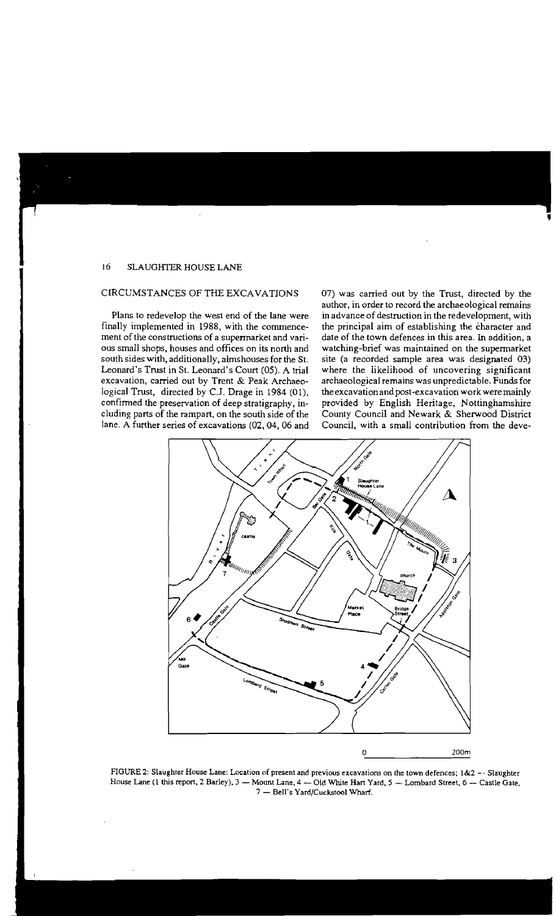# CIRCUMSTANCES OF THE EXCAVATIONS

Plans to redevelop the west end of the lane were finally implemented in 1988, with the commencement of the constructions of a supermarket and various small shops, houses and offices on its north and south sides with, additionally, almshouses for the St. Leonard's Trust in St. Leonard's Court (05). A trial excavation, carried out by Trent & Peak Archaeological Trust, directed by c.J. Drage in 1984 (01), confirmed the preservation of deep stratigraphy, including parts of the rampart, on the south side of the lane. A further series of excavations (02,04,06 and 07) was carried out by the Trust, directed by the author, in order to record the archaeological remains in advance of destruction in the redevelopment, with the principal aim of establishing the character and date of the town defences in this area. In addition, a watching-brief was maintained on the supermarket site (a recorded sample area was designated 03) where the likelihood of uncovering significant archaeological remains was unpredictable. Funds for the excavation and post-excavation workwere mainly provided by English Heritage, Nottinghamshire County Council and Newark & Sherwood District Council, with a small contribution from the deve-



**FIGURE 2: Slaughter House Lane: Location of present and previous excavations on the town defences; 1&2 \_. Slaughter**  House Lane (1 this report, 2 Barley), 3 - Mount Lane, 4 - Old White Hart Yard, 5 - Lombard Street, 6 - Castle Gate, 7 - Bell's Yard/Cuckstool Wharf.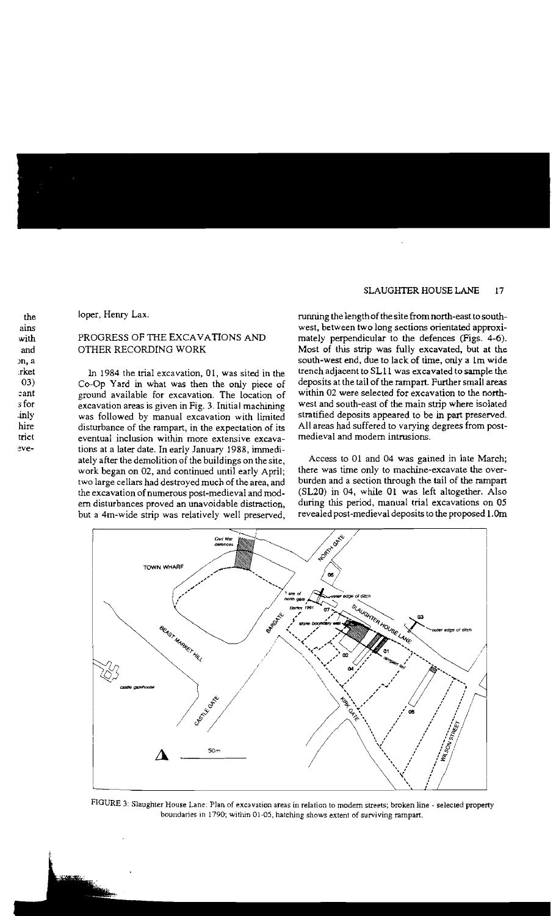loper, Henry Lax.

# PROGRESS OF THE EXCAVATIONS AND OTHER RECORDING WORK

In 1984 the trial excavation, 01, was sited in the 03) Co-Op Yard in what was then the only piece of ground available for excavation. The location of excavation areas is given in Fig. 3. Initial machining was followed by manual excavation with limited disturbance of the rampart, in the expectation of its eventual inclusion within more extensive excavations at a later date. In early January 1988, immediately after the demolition of the buildings on the site, work began on 02, and continued until early April; two large cellars had destroyed much of the area, and the excavation of numerous post-medieval and modern disturbances proved an unavoidable distraction, but a 4m-wide strip was relatively well preserved, running the length of the site from north-east to southwest, between two long sections orientated approximately perpendicular to the defences (Figs. 4-6). Most of this strip was fully excavated, but at the south-west end, due to lack of time, only a 1m wide trench adjacent to SLII was excavated to sample the deposits at the tail of the rampart. Further small areas within 02 were selected for excavation to the northwest and south-east of the main strip where isolated stratified deposits appeared to be in part preserved. All areas had suffered to varying degrees from postmedieval and modern intrusions.

Access to 01 and 04 was gained in late March; there was time only to machine-excavate the overburden and a section through the tail of the rampart (SL20) in 04, while 01 was left altogether. Also during this period, manual trial excavations on 05 revealed post-medieval deposits to the proposed 1.0m



FIGURE 3: Slaughter House Lane: Plan of excavation areas in relation to modem streets; broken line - selected property boundaries in 1790; within 01-05, hatching shows extent of surviving rampart.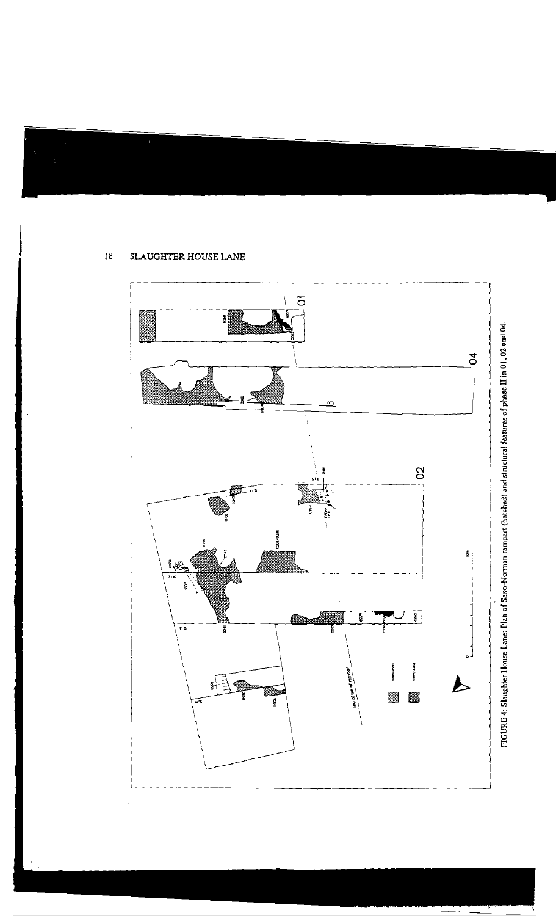

FIGURE 4: Slaughter House Lane: Plan of Saxo-Norman rampart (hatched) and structural features of phase II in 01,02 and 04.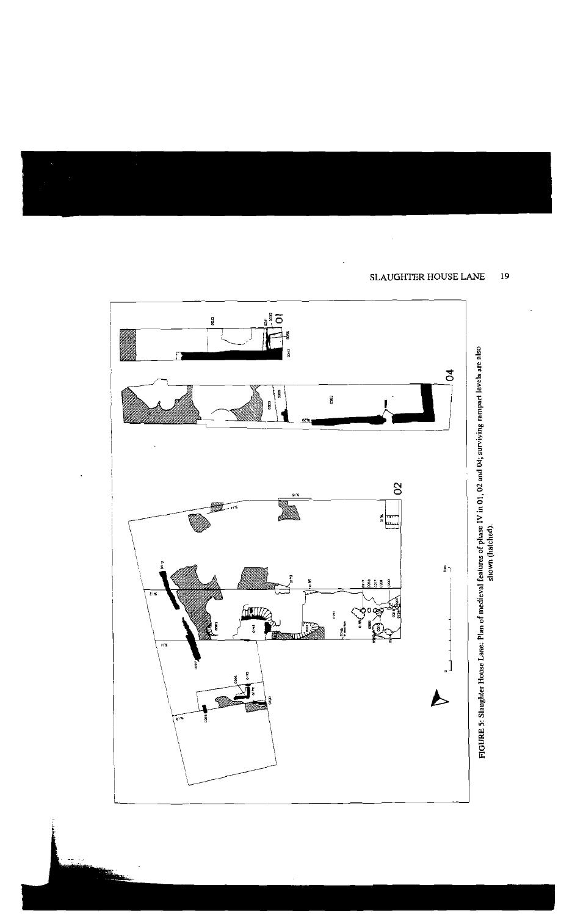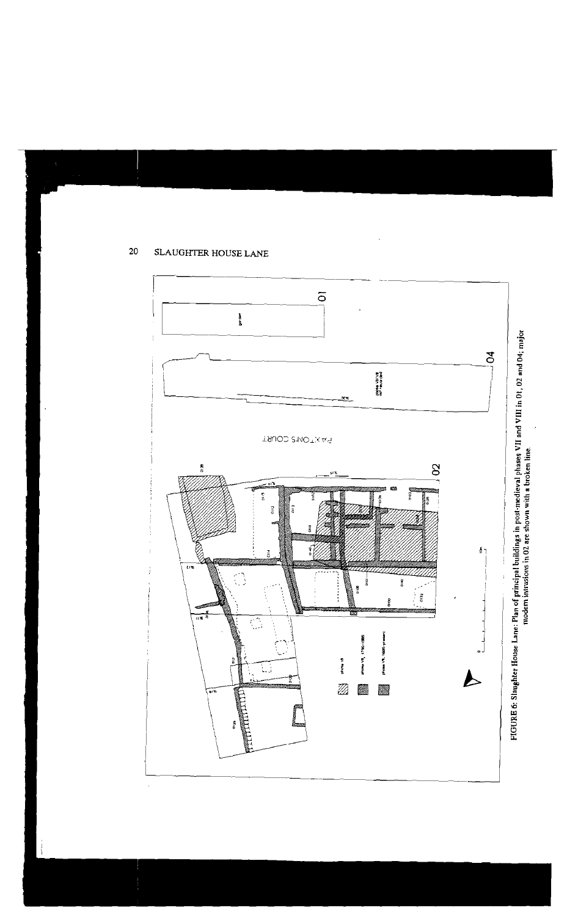

FIGURE 6: Slaughter House Lane: Plan of principal buildings in post-medieval phases VII and VIII in 01, 02 and 04; major<br>modern intrusions in 02 are shown with a broken line.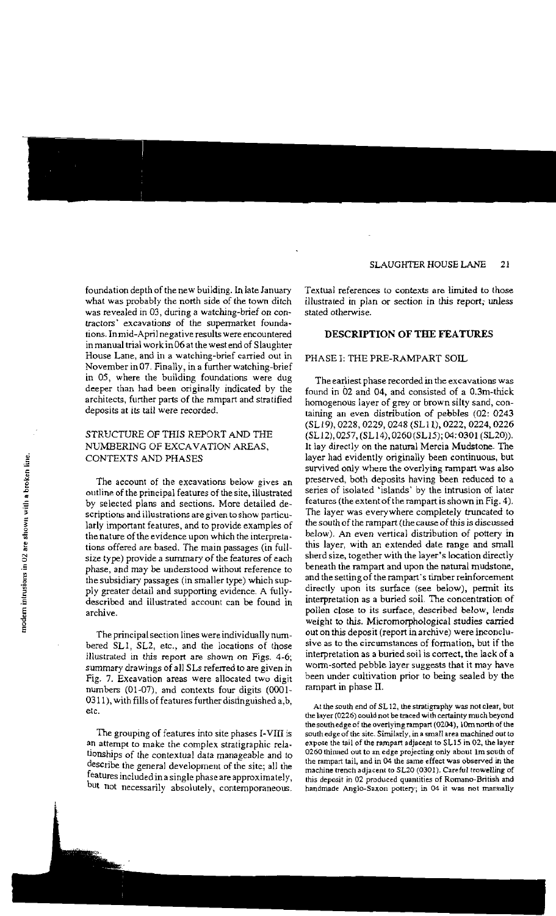foundation depth of the new building. In late January what was probably the north side of the town ditch was revealed in 03, during a watching-brief on contractors' excavations of the supermarket foundations. In mid-April negative results were encountered in manual trial workin06at the west end of Slaughter **House Lane, and in a watching-brief carried out in**  November in 07. Finally, in a further watching-brief in OS, where the building foundations were dug deeper than had been originally indicated by the architects, further parts of the rampart and stratified deposits at its tail were recorded.

# STRUCTURE OF THIS REPORT AND THE NUMBERING OF EXCAVATION AREAS, CONTEXTS AND PHASES

The account of the excavations below gives an outline of the principal features of the site, illustrated by selected plans and sections. More detailed de**scriptions and illustrations are given to show particu** by selected plans and sections. More detailed descriptions and illustrations are given to show particularly important features, and to provide examples of the primary of the original company which the internal the nature of the evidence upon which the interpreta-• tions offered are based. The main passages (in fullsize type) provide a summary of the features of each phase, and may be understood without reference to the subsidiary passages (in smaller type) which supply greater detail and supporting evidence. A fullydescribed and illustrated account can be found in archive.

> The principal section lines were individually numbered SLI, SL2, etc., and the locations of those illustrated *in* this report are shown on Figs. 4-6; summary drawings of all SLs referred to are given in Fig. 7. Excavation areas were allocated two digit numbers (01-07), and contexts four digits (0001 0311), with fills of features further distinguished a,b, **etc.**

> The grouping of features into site phases 1-VIII is an attempt to make the complex stratigraphic relationships of the contextual data manageable and to describe the general development of the site; all the features included in a single phase are approximately, but not necessarily absolutely, contemporaneous.

**Textual references to contexts are limited to those**  illustrated in plan or section in this report; unless stated otherwise.

# **DESCRIPTION OF THE FEATURES**

# PHASE I: THE PRE-RAMPART SOIL

The earliest **phase recorded in the excavations was**  found in 02 and 04, and consisted of a 0.3m-thick homogenous layer of grey or brown silty sand, containing an even distribution of pebbles (02: 0243 (SLl9), 0228, 0229, 0248 (SLlI), 0222, 0224, 0226 (SLl2), 0257, (SLl4), 0260(SL15); 04: 0301 (SLZO)). It lay directly on the natural Mercia Mudstone. The layer had evidently originally been continuous, but survived only where the overlying rampart was also preserved, both deposits having been reduced to a series of isolated 'islands' by the intrusion of later features (the extent of the rampart is shown in Fig. 4). The layer was everywhere completely truncated to the south of the rampart (the cause of this is discussed below). An even vertical distribution of pottery in this layer, with an extended date range and small sherd size, together with the layer's location directly beneath the rampart and upon the natural mudstone, and the setting of the rampart's timber reinforcement directly upon its surface (see below), permit its interpretation as a buried soil. The concentration of pollen close to its surface, described below, lends weight to this. Micromorphological studies carried out on this deposit (report in archive) were inconclu**sive as to the circumstances of** formation, **but if the**  interpretation as a buried soil is correct, the lack of a worm-sorted pebble layer suggests that it may have been under cultivation prior to being sealed by the rampart in phase II.

*At* **the** *south* **end of SL 12, thestratigraphy was not clear, but the layer (0226) could not be traced with certainty much beyond**  the south edge of the overlying rampart (0204), 10m north of the south **edge of the site. Similarly, in a small area machined out to expose the tail of the rampart adjacent to SL15 in 02, the layer 0260** thinned **out to an edge projecting only about 1m south of the rampart tail, and in 04 the same effect was observed in the machine trench adjacent to SL20 (0301). Careful trowelling of this deposit in 02 produced quantities of Romano-British and handmade Anglo-Saxon pottery, in 04 it was not manually**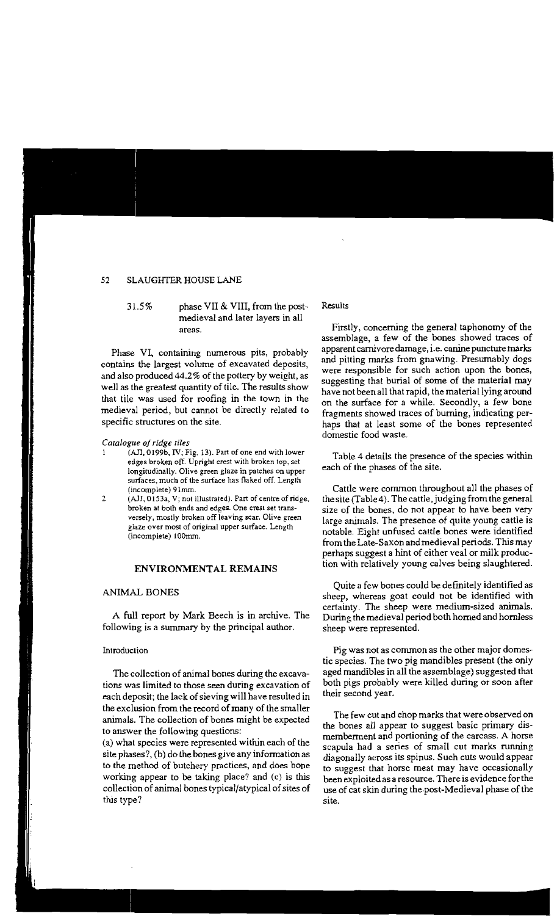31.5% phase VII & VIII, from the postmedieval and later layers in all **areas.** 

Phase VI, containing numerous pits, probably contains the largest volume of excavated deposits, and also produced 44.2% of the pottery by weight, as well as the greatest quantity of tile. The results show that tile was used for roofing in the town in the medieval period, but cannot be directly related to specific structures on the site.

#### *Catalogue ofridge tiles*

- **1 (All, 0199b, IV; Fig. 13). Part of one end with lower edges broken off. Upright crest with broken lop, set longitudinally. Olive green glaze in patches on upper**  surfaces, **much of the** surface **has flaked off. Length (incomplete) 91mm.**
- *2 (All,* **0153a, V; not illustrated). Part of centre of ridge, broken** at both **ends and edges. One crest set transversely, mostly broken off leaving scar. Olive green glaze over most of original upper surface. Length (incomplete) lOOmm.**

# **ENVIRONMENTAL REMAINS**

# ANIMAL BONES

A full report by Mark Beech is in archive. The following is a summary by the principal author.

#### Introduction

The collection of animal bones during the excavations was limited to those seen during excavation of each deposit; the lack of sieving will have resulted in the exclusion from the record of many of the smaller animals. The collection of bones might be expected to answer the following questions:

(a) what species were represented within each of the site phases?, (b) do the bones give any information as to the method of butchery practices, and does bone working appear to be taking place? and (c) is this collection of animal bones typical/atypical of sites of this type?

#### Results

Firstly, concerning the general taphonomy of the assemblage, a few of the bones showed traces of apparent carnivore damage, i.e. canine puncturemarks and pitting marks from gnawing. Presumably dogs were responsible for such action upon the bones, suggesting that burial of some of the material may have not been all that rapid, the material lying around on the surface for a while. Secondly, a few bone fragments showed traces of burning, indicating perhaps that at least some of the bones represented domestic food waste.

Table 4 details the presence of the species within each of the phases of the site.

Cattle were common throughout all the phases of the site (Table4). The cattle, judging from the general size of the bones, do not appear to have been very large animals. The presence of quite young cattle is notable. Eight unfused cattle bones were identified from the Late-Saxon and medieval periods. This may perhaps suggest a hint of either veal or milk production with relatively young calves being slaughtered.

Quite a few bones could be definitely identified as sheep, whereas goat could not be identified with certainty. The sheep were medium-sized animals. During the medieval period both homed and hornless sheep were represented.

Pig was not as common as the other major domestic species. The two pig mandibles present (the only aged mandibles in all the assemblage) suggested that both pigs probably were killed during or soon after their second year.

The few cut and chop marks that were observed on the bones all appear to suggest basic primary dismemberment and portioning of the carcass. A horse scapula had a series of small cut marks running diagonally across its spinus. Such cuts would appear to suggest that horse meat may have occasionally been exploited as a resource. There is evidence for the use of cat skin during the-post-Medieval phase of the **site.**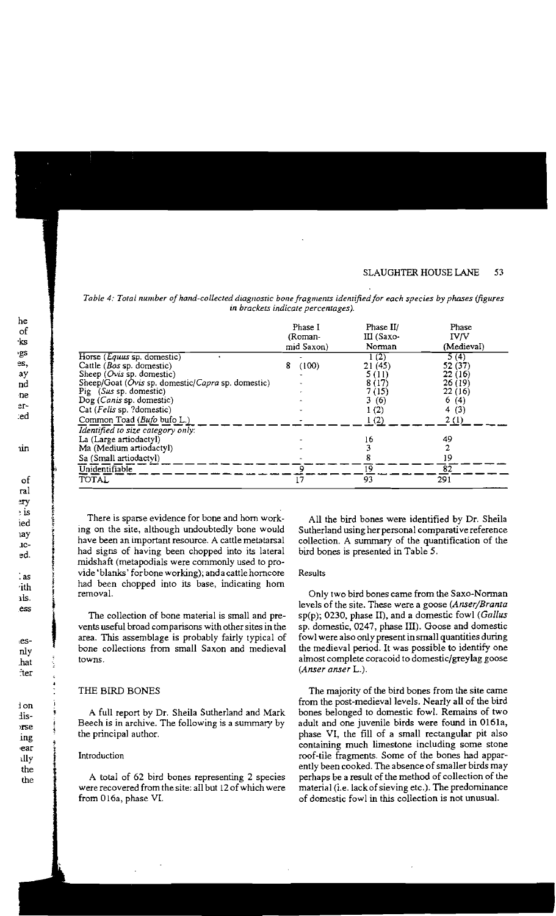|                                                   | Phase I<br>(Roman-<br>mid Saxon) | Phase II/<br>III (Saxo-<br>Norman | Phase<br><b>IV/V</b><br>(Medieval) |  |
|---------------------------------------------------|----------------------------------|-----------------------------------|------------------------------------|--|
| Horse ( <i>Equus</i> sp. domestic)                |                                  | 1(2)                              | 5(4)                               |  |
| Cattle (Bos sp. domestic)                         | 8<br>(100)                       | 21(45)                            | 52 (37)                            |  |
| Sheep $(Ovis$ sp. domestic)                       |                                  | 5 (11)                            | 22(16)                             |  |
| Sheep/Goat (Ovis sp. domestic/Capra sp. domestic) |                                  | 8 (17)                            | 26(19)                             |  |
| Pig (Sus sp. domestic)                            |                                  | 7 (15)                            | 22(16)                             |  |
| Dog (Canis sp. domestic)                          |                                  | 3(6)                              | 6(4)                               |  |
| Cat (Felis sp. ?domestic)                         |                                  | 1(2)                              | 4(3)                               |  |
| Common Toad (Bufo bufo L.)                        |                                  | 1(2)                              | 2(1)                               |  |
| Identified to size category only:                 |                                  |                                   |                                    |  |
| La (Large artiodactyl)                            |                                  | 16                                | 49                                 |  |
| Ma (Medium artiodactyl)                           |                                  | 3                                 | 2                                  |  |
| Sa (Small artiodactyl)                            |                                  | 8                                 | 19                                 |  |
| Unidentifiable                                    | 9                                | 19                                | 82                                 |  |
| TOTAL                                             | 17                               | 93                                | 291                                |  |

Table 4: Total number of hand-collected diagnostic bone fragments identified for each species by phases (figures in brackets indicate percentages).

There is sparse evidence for bone and horn working on the site, although undoubtedly bone would have been an important resource. A cattle metatarsal had signs of having been chopped into its lateral midshaft (metapodials were commonly used to provide 'blanks' for bone working); and a cattle horncore had been chopped into its base, indicating horn removal.

The collection of bone material is small and prevents useful broad comparisons with other sites in the area. This assemblage is probably fairly typical of bone collections from small Saxon and medieval towns.

### THE BIRD BONES

A full report by Dr. Sheila Sutherland and Mark Beech is in archive. The following is a summary by the principal author.

# Introduction

A total of 62 bird bones representing 2 species were recovered from the site: all but 12 of which were from 016a, phase VI.

All the bird bones were identified by Dr. Sheila Sutherland using her personal comparative reference collection. A summary of the quantification of the bird bones is presented in Table 5.

## Results

Only two bird bones came from the Saxo-Norman levels of the site. These were a goose (Anser/Branta sp(p); 0230, phase II), and a domestic fowl (Gallus sp. domestic, 0247, phase III). Goose and domestic fowl were also only present in small quantities during the medieval period. It was possible to identify one almost complete coracoid to domestic/greylag goose  $(Answer \, answer \, L.).$ 

The majority of the bird bones from the site came from the post-medieval levels. Nearly all of the bird bones belonged to domestic fowl. Remains of two adult and one juvenile birds were found in 0161a, phase VI, the fill of a small rectangular pit also containing much limestone including some stone roof-tile fragments. Some of the bones had apparently been cooked. The absence of smaller birds may perhaps be a result of the method of collection of the material (i.e. lack of sieving etc.). The predominance of domestic fowl in this collection is not unusual.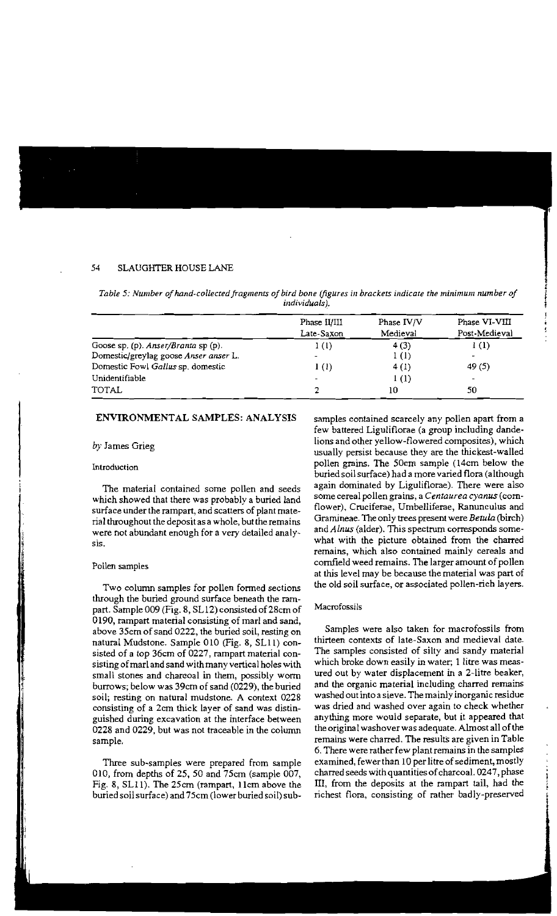|                                       | Phase II/III<br>Late-Saxon | Phase IV/V<br>Medieval | Phase VI-VIII<br>Post-Medieval |
|---------------------------------------|----------------------------|------------------------|--------------------------------|
| Goose sp. (p). Anser/Branta sp (p).   | 1(1)                       | 4(3)                   | 1(1)                           |
| Domestic/greylag goose Anser anser L. |                            | 1 <sub>(1)</sub>       |                                |
| Domestic Fowl Gallus sp. domestic     | 1(1)                       | 4(1)                   | 49(5)                          |
| Unidentifiable                        |                            | 1(1)                   |                                |
| <b>TOTAL</b>                          |                            | 10                     | 50                             |

*Table* **5:** *Number ofhand-collected fragments of bird bone (figures in brackers indicate the minimum number of*  individuals].

# **ENVIRONMENTAL** SAMPLES: ANALYSIS

# *by* James Grieg

#### **Introduction**

The material contained some pollen and seeds which showed that there was probably a buried land surface under the rampart, and scatters of plant material throughout the deposit as a whole, but the remains were not abundant enough for a very detailed analy**sis.** 

#### Pollen samples

Two column samples for pollen formed sections through the buried ground surface beneath the rampart. Sample 009 (Fig. 8, SLl2) consistedof28cm of 0190, rampart material consisting of marl and sand, above 35cm of sand 0222, the buried soil, resting on natural Mudstone. Sample 010 (Fig. 8, SLlI) consisted of a top 36cm of 0227, rampart material consisting of marl and sand with many vertical holes with small stones and charcoal in them, possibly worm burrows; below was 39cm of sand (0229), the buried soil; resting on natural mudstone. A context 0228 consisting of a 2cm thick layer of sand was distinguished during excavation at the interface between 0228 and 0229, but was not traceable in the column sample.

Three sub-samples were prepared from sample 010, from depths of 25, 50 and 75cm (sample 007, Fig. 8, SLII). The 25cm (rampart, Ilcm above the buried soil surface) and 75cm (lower buried soil) subsamples contained scarcely any pollen apart from a few battered Liguliflorae (a group including dandelions and other yellow-flowered composites), which usually persist because they are the thickest-walled pollen grains. The 50cm sample (l4cm below the buried soil surface) had a more varied flora (although again dominated by Liguliflorae). There were also some cereal pollen grains, a *Centaurea cyanus* (cornflower), Cruciferae, Umbelliferae, Ranunculus and Grarnineae. The only trees present were *Betula* (birch) and *Alnus* (alder). This spectrum corresponds somewhat with the picture obtained from the charred remains, which also contained mainly cereals and cornfield weed remains. The larger amount of pollen at this level may be because the material was part of the old soil surface, or associated pollen-rich layers.

#### Macrofossils

Samples were also taken for macrofossils from thirteen contexts of late-Saxon and medieval date. The samples consisted of silty and sandy material which broke down easily in water; 1 litre was measured out by water displacement in a 2-1itre beaker, and the organic material including charred remains washed out into a sieve. Themainly inorganic residue was dried and washed over again to check whether anything more would separate, but it appeared that the original washover was adequate. Almost all of the remains were charred. The results are given in Table 6. There were rather few plantremains in the samples examined, fewer than 10 per litre of sediment, mostly charred seeds with quantities of charcoal. 0247, phase III, from the deposits at the rampart tail, had the richest flora, consisting of rather badly-preserved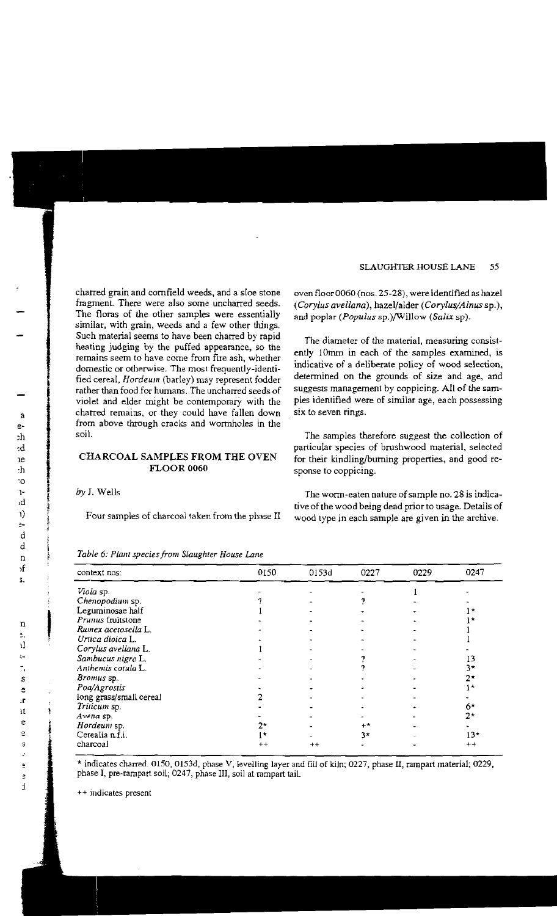charred grain and cornfield weeds, and a sloe stone fragment. There were also some uncharred seeds. The floras of the other samples were essentially **similar, with grain, weeds and a few other things.**  Such material seems to have been charred by rapid heating judging by the puffed appearance, so the **remains seem to have come from fire ash, whether domestic or otherwise. The most frequentJy-identi**fied cereal, *Hordeum* (barley) may represent fodder rather than food for humans. The uncharred seeds of violet and elder might be contemporary with the charred remains, or they could have fallen down from above through cracks and wormholes in the soil.

# CHARCOAL SAMPLES FROM THE OVEN FLOOR 0060

*by* J. Wells

Four samples of charcoal taken from the phase II

oven floor 0060 (nos. 25-28), were identified as hazel *(Corylus avellana),* hazel/alder *(Corylus/Alnus* sp.), and poplar *(Populus sp.)*/Willow *(Salix sp)*.

**The diameter of** *the* **material, measuring consist**ently 10mm in each of the samples examined, is indicative of a deliberate policy of wood selection, determined on the grounds of size and age, and suggests management by coppicing. All of the samples identified were of similar age, each possessing . **six to seven rings.** 

The samples therefore suggest the collection of particular species of brushwood material, selected for their kindling/burning properties, and good response to coppicing,

The worm-eaten nature of sample no. 28 is indicativeof the wood being dead prior to usage. Details of wood type in each sample are given in the archive.

| context nos:            | 0150                 | 0153d           | 0227 | 0229 | 0247        |
|-------------------------|----------------------|-----------------|------|------|-------------|
| Viola sp.               |                      |                 |      |      |             |
| Chenopodium sp.         |                      |                 |      |      |             |
| Leguminosae half        |                      |                 |      |      | -75         |
| Prunus fruitstone       |                      |                 |      |      |             |
| Rumex acetosella L.     |                      |                 |      |      |             |
| Urtica dioica L.        |                      |                 |      |      |             |
| Corylus avellana L.     |                      |                 |      |      |             |
| Sambucus nigra L.       |                      |                 |      |      | 13          |
| Anthemis cotula L.      |                      |                 |      |      | 3*          |
| Bromus sp.              |                      |                 |      |      | $2^+$       |
| Poa/Agrostis            |                      |                 |      |      | ╷★          |
| long grass/small cereal |                      |                 |      |      |             |
| Triticum sp.            |                      |                 |      |      | 6*          |
| Avena sp.               |                      |                 |      |      | $2^{\star}$ |
| Hordeum sp.             | $2^{\star}$          |                 | $++$ |      |             |
| Cerealia n.f.i.         | $\mathbf{1}^{\star}$ |                 | $3*$ |      | $13*$       |
| charcoal                | $^{\mathrm{+}}$      | $^{\mathrm{+}}$ |      |      | $^{++}$     |

*Table* 6: *Plant species from Slaughter Hause Lane* 

\* indicates charred 0150, 0153d, phase V, levelling layer and fill of kIln; 0227, phase II, rampart material; 0229, phase I, pre-rampart soil; 0247, phase III, soil at rampart tail.

**++ indicates present**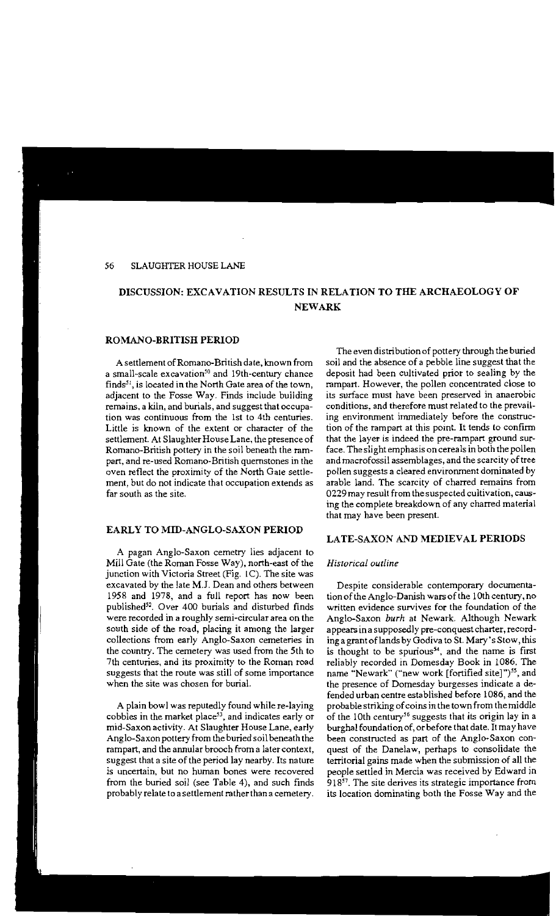# DISCUSSION: EXCAVATION RESULTS IN RELATION TO THE ARCHAEOLOGY OF NEWARK

### ROMANO-BRITISH PERIOD

A settlement of Romano-British date, known from a small-scale excavation<sup>50</sup> and 19th-century chance finds<sup>51</sup>, is located in the North Gate area of the town, adjacent to the Fosse Way. Finds include building remains, a kiln, and burials, and suggest that occupation was continuous from the 1st to 4th centuries. Little is known of the extent or character of the settlement. At Slaughter House Lane, the presence of Romano-British pottery in the soil beneath the rampart, and re-used Romano-British quemstones in the oven reflect the proximity of the North Gale settlement, but do not indicate that occupation extends as far south as the site.

# EARLY TO MID-ANGLO-SAXON PERIOD

A pagan Anglo-Saxon cemetry lies adjacent to Mill Gate (the Roman Fosse Way), north-east of the junction with Victoria Street (Fig. IC). The site was excavated by the late MJ. Dean and others between 1958 and 1978, and a full report has now been published<sup>52</sup>. Over 400 burials and disturbed finds were recorded in a roughly semi-circular area on the south side of the road, placing it among the larger collections from early Anglo-Saxon cemeteries in the country. The cemetery was used from the 5th to 7th centuries, and its proximity to the Roman road suggests that the route was still of some importance when the site was chosen for burial.

A plain bowl was reputedly found while re-laying cobbles in the market place<sup>53</sup>, and indicates early or mid-Saxon activity. At Slaughter House Lane, early Anglo-Saxon pottery from the buried soil beneath the rampart, and the annular brooch from a later context, suggest that a site of the period lay nearby. Its nature *is* **uncertain, but no human bones were recovered**  from the buried soil (see Table 4), and such finds probably relate to a settlement rather than a cemetery.

The even distribution of pottery through the buried soil and the absence of a pebble line suggest that the deposit had been cultivated prior to sealing by the rampart. However, the pollen concentrated close to its surface must have been preserved in anaerobic conditions, and therefore must related to the prevailing environment inunediately before the construction of the rampart at this point. It tends to confirm that the layer is indeed the pre-rampart ground surface. The slight emphasis on cereals in both the pollen and macrofossil assemblages, and the scarcity of tree pollen suggests a cleared environment dominated by arable land. The scarcity of charred remains from 0229 may result from the suspected cultivation, causing the complete breakdown of any charred material that may have been present.

# LATE-SAXON AND MEDIEVAL PERIODS

# *Historical outline*

Despite considerable contemporary documentation of the Anglo-Danish wars of the 10th century, no written evidence survives for the foundation of the Anglo-Saxon *burtt* at Newark. Although Newark appears in a supposedly pre-conquest charter, recording a grant oflands by Godiva to St. Mary's Stow, this is thought to be spurious<sup>54</sup>, and the name is first reliably recorded in Domesday Book in 1086. The name "Newark" ("new work [fortified site]")<sup>55</sup>, and the presence of Domesday burgesses indicate a defended urban centre established before 1086, and the probable striking of coins in the town from the middle of the 10th century<sup>56</sup> suggests that its origin lay in a burghal foundation of, or before that date. It may have been constructed as part of the Anglo-Saxon conquest of the Danelaw, perhaps to consolidate the territorial gains made when the submission of all the people settled in Mercia was received by Edward in  $918<sup>57</sup>$ . The site derives its strategic importance from its location dominating both the Fosse Way and the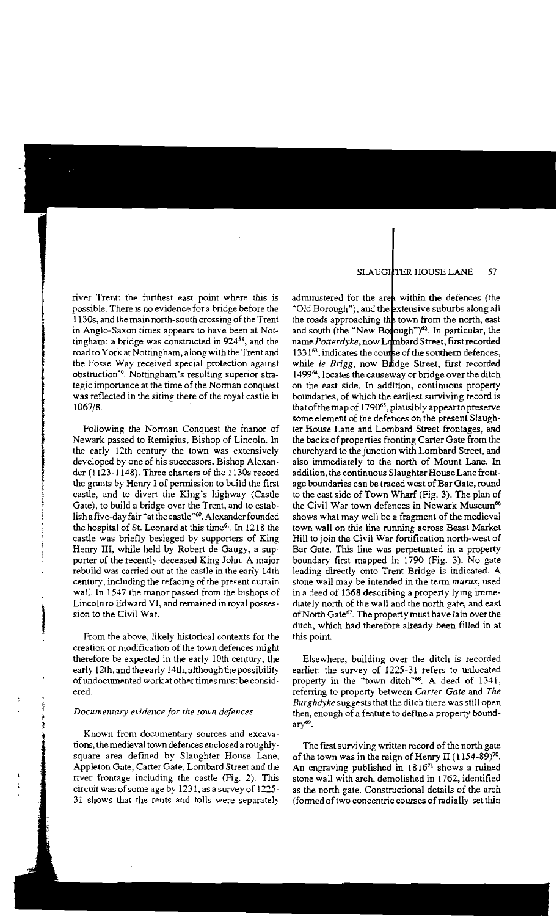river Trent: the furthest east point where this is possible. There is no evidence for a bridge before the 1130s, and the main north-south crossing of the Trent in Anglo-Saxon times appears to have been at Nottingham: a bridge was constructed in 924<sup>58</sup>, and the road to York at Nottingham, along with the Trent and the Fosse Way received special protection against obstruction<sup>59</sup>. Nottingham's resulting superior strategic importance at the time of the Norman conquest was reflected in the siting there of the royal castle in 1067/8.

Following the Norman Conquest the manor of Newark passed to Remigius, Bishop of Lincoln. In the early 12th century the town was extensively developed by one of his successors, Bishop Alexander (1123-1148). Three charters of the 1130s record the grants by Henry I of permission to build the first castle, and to divert the King's highway (Castle Gate), to build a bridge over the Trent, and to establish a five-day fair "at the castle"<sup>60</sup>. Alexander founded the hospital of St. Leonard at this time<sup>61</sup>. In 1218 the castle was briefly besieged by supporters of King Henry III, while held by Robert de Gaugy, a supporter of the recently-deceased King John. A major rebuild was carried out at the castle in the early 14th century, including the refacing of the present curtain wall. In 1547 the manor passed from the bishops of Lincoln to Edward VI, and remained in royal possession to the Civil War.

From the above, likely historical contexts for the creation or modification of the town defences might therefore be expected in the early 10th century, the early 12th, and the early 14th, although the possibility of undocumented work at other times must be considered.

## *Documentary evidence for rhe rown defences*

**Known from documentary sources and excava**tions, the medieval town defences enclosed a roughlysquare area defined by Slaughter House Lane, Appleton Gate, Carter Gate, Lombard Street and the river frontage including the castle (Fig. 2). This circuit was of some age by 1231, as a survey of 1225 31 shows that the rents and tolls were separately

administered for the area within the defences (the "Old Borough"), and the extensive suburbs along all the roads approaching the town from the north, east and south (the "New Borough")<sup>62</sup>. In particular, the name Potterdyke, now Lombard Street, first recorded 1331<sup>63</sup>, indicates the course of the southern defences, while *le Brigg*, now Bridge Street, first recorded 1499<sup>64</sup>, locates the causeway or bridge over the ditch on the east side. In addition, continuous property boundaries, of which the earliest surviving record is that of the map of 1790<sup>65</sup>, plausibly appear to preserve some element of the defences on the present Slaughter House Lane and Lombard Street frontages, and the backs of properties fronting Carter Gate from the churchyard to the junction with Lombard Street, and also immediately to the north of Mount Lane. In addition, the continuous Slaughter House Lane frontage boundaries can be traced west of Bar Gate, round to the east side of Town Wharf (Fig. 3). The plan of the Civil War town defences in Newark Museum<sup>66</sup> shows what may well be a fragment of the medieval town wall on this line running across Beast Market Hill to join the Civil War fortification north-west of Bar Gate. This line was perpetuated in a property boundary first mapped in 1790 (Fig. 3). No gate leading directly onto Trent Bridge is indicated. A stone wall may be intended in the term *mutus,* used in a deed of 1368 describing a property lying immediately north of the wall and the north gate, and east of North Gate<sup>67</sup>. The property must have lain over the ditch, which had therefore already been filled in at this point.

Elsewhere, building over the ditch is recorded earlier: the survey of 1225-31 refers to unlocated property in the "town ditch"<sup>68</sup>. A deed of 1341, referring to property between *Carrer Gate* and *The Burglulyke* suggests that the ditch there was still open then, enough of a feature to define a property bound $ary<sup>69</sup>$ .

The first surviving written record of the north gate of the town was in the reign of Henry II  $(1154-89)^{70}$ . An engraving published in 1816<sup>71</sup> shows a ruined stone wall with arch, demolished in 1762, identified as the north gate. Constructional details of the arch (formed of two concentric courses of radially-set thin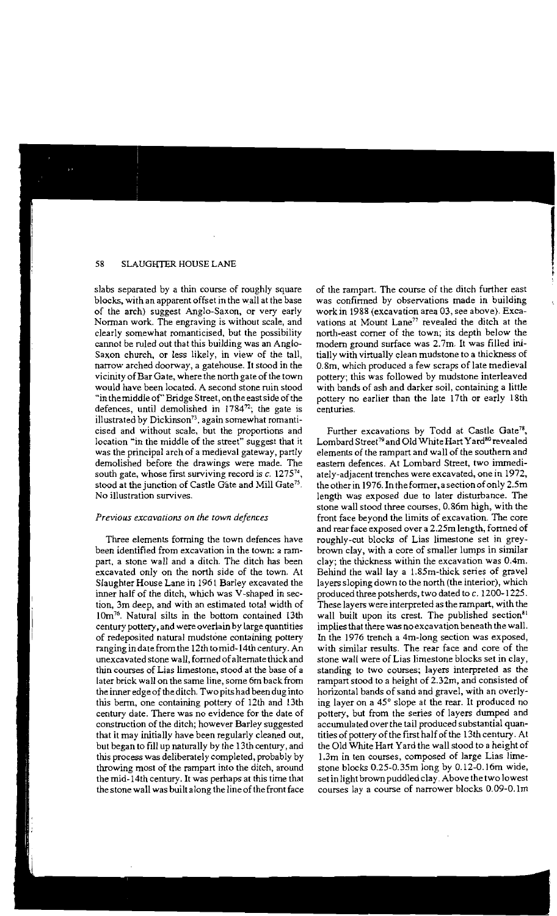blocks, with an apparent offset in the wall at the base of the arch) suggest Anglo-Saxon, or very early Norman work. The engraving is without scale, and clearly somewhat romanticised, but the possibility cannot be ruled out that this building was an Anglo-Saxon church, or less likely, in view of the tall, narrow arched doorway, a gatehouse. It stood in the vicinity ofBar Gate, where the north gate of the town would have been located. A second stone ruin stood "in the middle of' Bridge Street, on the east side of the defences, until demolished in  $1784^{72}$ ; the gate is illustrated by Dickinson", again somewhat romanticised and without scale, but the proportions and location "in the middle of the street" suggest that it was the principal arch of a medieval gateway, partly demolished before the drawings were made. The south gate, whose first surviving record is  $c$ . 1275<sup>74</sup>, stood at the junction of Castle Gate and Mill Gate<sup>75</sup>. No illustration survives.

#### *Previous excavations on {he {Own defences*

Three elements forming the town defences have been identified from excavation in the town: a rampart, a stone wall and a ditch. The ditch has been excavated only on the north side of the town. At Slaughter House Lane in 1961 Barley excavated the inner half of the ditch, which was V-shaped in section, 3m deep, and with an estimated total width of 10m<sup>76</sup>. Natural silts in the bottom contained 13th century pottery, and were overlain by large quantities of redeposited natural mudstone containing pcttery ranging in date from the 12th tomid-14th century. An unexcavated stone wall, formed ofalternate thick and thin courses of Lias limestone, stood at the base of a later brick wall on the same line, some 6m back from the inner edge of the ditch. Two pits had been dug into this berm, one containing pcttery of 12th and 13th century date. There was no evidence for the date of construction of the ditch; however Barley suggested that it may initially have been regularly cleaned out, but began to fill up naturally by the 13th century, and this process was deliberately completed, probably by throwing most of the rampart into the ditch, around the mid-14th century. It was perhaps at this time that the stone wall was built along the line of the front face

slabs separated by a thin course of roughly square of the rampart. The course of the ditch further east was confirmed by observations made in building work in 1988 (excavation area 03, see above). Excavations at Mount Lane<sup>77</sup> revealed the ditch at the north-east corner of the town; its depth below the modern ground surface was 2.7m. It was filled initially with virtually clean mudstone to a thickness of 0.8m, which produced a few scraps of late medieval pottery; this was followed by mudstone interleaved with bands of ash and darker soil, containing a little pottery no earlier than the late 17th or early 18th **centuries.** 

> Further excavations by Todd at Castle Gate<sup>78</sup>. Lombard Street<sup>79</sup> and Old White Hart Yard<sup>80</sup> revealed elements of the rampart and wall of the southern and eastern defences. At Lombard Street, two immediately-adjacent trenches were excavated, one in 1972, the other in 1976. In the former, asection of only 2.5m length was exposed due to later disturbance. The stone wall stood three courses, 0.86m high, with the front face beyond the limits of excavation. The core and rear face exposed over a 2.25m length, formed of roughly-cut blocks of Lias limestone set in greybrown clay, with a core of smaller lumps in similar clay; the thickness within the excavation was 0.4m. Behind the wall lay a 1.85m-thick series of gravel layers sloping down to the north (the interior), which produced three pctsherds, two dated to c. 1200-1225. These layers were interpreted as the rampart, with the wall built upon its crest. The published section ${}^{81}$ implies that there was no excavation beneath the wall. In the 1976 trench a 4m-Iong section was exposed, with similar results. The rear face and core of the stone wall were of Lias limestone blocks set in clay, standing to two courses; layers interpreted as the rampart stood to a height of 2.32m, and consisted of horizontal bands of sand and gravel, with an overlying layer on a 45° slope at the rear. It produced no pottery, but from the series of layers dumped and accumulated over the tail produced substantial quantities of pottery of the first half of the 13th century. At the Old White Hart Yard the wall stood to a height of 1.3m in ten courses, composed of large Lias limestone blocks 0.25-0.35m long by 0.12-0.16m wide, set in light brown puddled clay. Above the two lowest courses lay a course of narrower blocks O.09-0.1m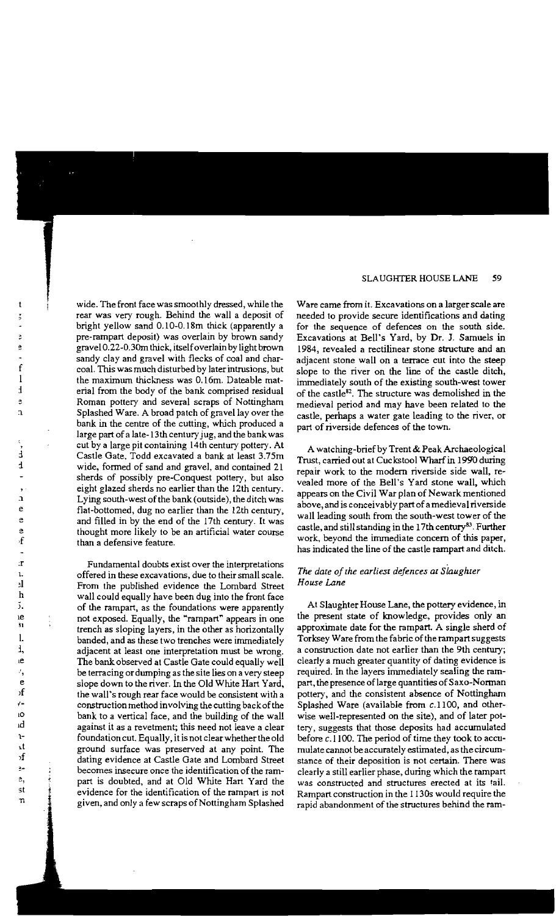wide. The front face was smoothly dressed, while the rear was very rough. Behind the wall a deposit of bright yellow sand 0.1O-0.18m thick (apparently a pre-rampart deposit) was overlain by brown sandy gravel 0.22-0.3Om thick, itselfoverlain by light brown sandy clay and gravel with flecks of coal and charcoal. This was much disturbed by later intrusions, but the maximum thickness was 0.16m. Dateable material from the body of the bank comprised residual Roman pottery and several scraps of Nottingham Splashed Ware. A broad patch of gravel lay over the bank in the centre of the cutting, which produced a large part of a late-13th century jug, and the bank was cut by a large pit containing 14th century pottery. At Castle Gate, Todd excavated a bank at least 3.75m wide, formed of sand and gravel, and contained 21 sherds of possibly pre-Conquest pottery, but also eight glazed sherds no earlier than the 12th century. Lying south-west of the bank (outside), the ditch was flat-bottomed, dug no earlier than the 12th century, and filled in by the end of the 17th century. It was thought more likely to be an artificial water course than a defensive feature.

Fundamental doubts exist over the interpretations offered in these excavations, due to their small scale. From the published evidence the Lombard Street wall could equally have been dug into the front face of the rampart, as the foundations were apparently not exposed. Equally, the "rampart" appears in one trench as sloping layers, in the other as horizontally banded, and as these two trenches were immediately adjacent at least one interpretation must be wrong. The bank observed at Castle Gate could equally well be terracing or dumping as the site lies on a very steep slope down to the river. In the Old White Hart Yard, the wall's rough rear face would be consistent with a construction method involving the cutting backof the bank to a vertical face, and the building of the wall against it as a revetment; this need not leave a clear foundation cut. Equally, it is not clearwhether the old ground surface was preserved at any point. The dating evidence at Castle Gate and Lombard Street becomes insecure once the identification of the rampart is doubted, and at Old White Hart Yard the evidence for the identification of the rampart is not given, and only a few scraps of Nottingham Splashed

Ware came from it. Excavations on a larger scale are needed to provide secure identifications and dating for the sequence of defences on the south side. Excavations at Bell's Yard, by Dr. J. Samuels in 1984, revealed a rectilinear stone structure and an adjacent stone wall on a terrace cut into the steep slope to the river on the line of the castle ditch, immediately south of the existing south-west tower of the castle<sup>82</sup>. The structure was demolished in the medieval period and may have been related to the castle, perhaps a water gate leading to the river, or part of riverside defences of the town.

A watching-brief by Trent & Peak Archaeological Trust, carried out at Cuckstool Wharfin *1990* during repair work to the modern riverside side wall, revealed more of the Bell's Yard stone wall, which appears on the Civil War plan of Newark mentioned above, and is conceivably part of a medieval riverside wall leading south from the south-west tower of the castle, and still standing in the 17th century<sup>83</sup>. Further work, beyond the immediate concern of this paper, has indicated the line of the castle rampart and ditch.

# *The date ofthe earliest defences at Slaughter House Lane*

At Slaughter House Lane, the pottery evidence, in the present state of knowledge, provides only an approximate date for the rampart. A single sherd of Torksey Ware from the fabric of the rampart suggests a construction date not earlier than the 9th century; clearly a much greater quantity of dating evidence is required. In the layers immediately sealing the rampart, the presence of large quantities of Saxo-Norman pottery, and the consistent absence of Nottingham Splashed Ware (available from  $c.1100$ , and otherwise well-represented on the site), and of later pottery, suggests that those deposits had accumulated before c.1100. The period of time they took to accumulate cannot be accurately estimated, as the circumstance of their deposition is not certain. There was clearly a still earlier phase, during which the rampart was constructed and structures erected at its tail. Rampart construction in the 1130s would require the rapid abandonment of the structures behind the ram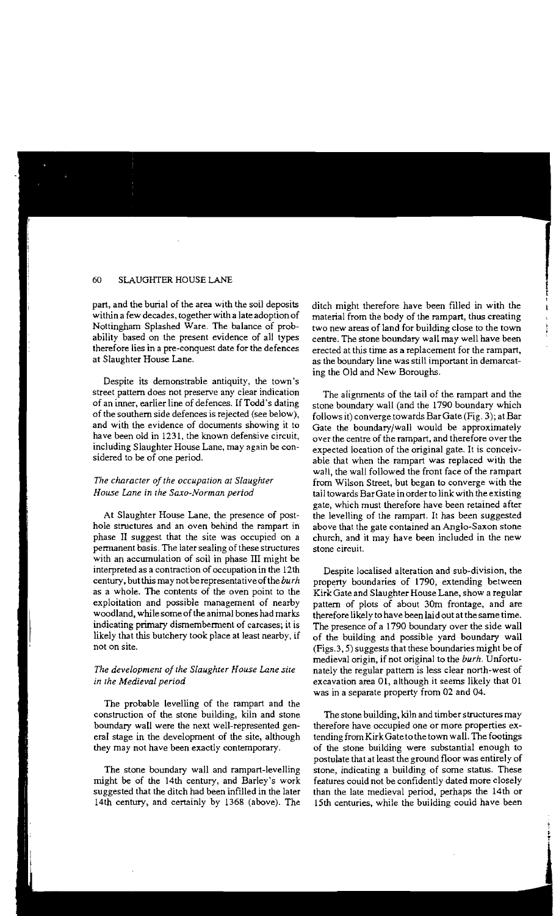part, and the burial of the area with the soil deposits within a few decades, together with a late adoption of Nottingham Splashed Ware. The balance of probability based on the present evidence of all types therefore lies in a pre-conquest date for the defences at Slaughter House Lane.

Despite its demonstrable antiquity, the town's street pattern does not preserve any clear indication of an inner, earlier line of defences. If Todd's dating of the southern side defences is rejected (see below), and with the evidence of documents showing it to have been old in 1231, the known defensive circuit, including Slaughter House Lane, may again be considered to be of one period.

# The character of the occupation at Slaughter *House Lane in the Saxo-Norman period*

At Slaughter House Lane, the presence of posthole structures and an oven behind the rampart in phase II suggest that the site was occupied on a permanent basis. The later sealing of these structures with an accumulation of soil in phase III might be interpreted as a contraction of occupation in the 12th century, but this maynotberepresentativeofthe *burn*  as a whole. The contents of the oven point to the exploitation and possible management of nearby woodland, while some of the animal bones had marks indicating primary dismemberment of carcases; it is likely that this butchery took place at least nearby, if **not on site.** 

# **The development of the Slaughter House Lane site** in the Medieval period

The probable levelling of the rampart and the construction of the stone building, kiln and stone boundary wall were the next well-represented general stage in the development of the site, although they may not have been exactly contemporary.

The stone boundary wall and rampart-levelling might be of the 14th century, and Barley's work suggested that the ditch had been infilled in the later 14th century, and certainly by 1368 (above). The

ditch might therefore have been filled in with the material from the body of the rampart, thus creating two new areas of land for building close to the town centre. The stone boundary wall may well have been erected at this time as a replacement for the rampart, as the boundary line was still important in demarcating the Old and New Boroughs.

The alignments of the tail of the rampart and the stone boundary wall (and the 1790 boundary which follows it) converge towards BarGate (Fig. 3); at Bar Gate the boundary/wall would be approximately over the centre of the rampart, and therefore over the expected location of the original gate. It is conceivable that when the rampart was replaced with the wall, the wall followed the front face of the rampart from Wilson Street, but began to converge with the tail towards BarGate in orderto link with the existing gate, which must therefore have been retained after the levelling of the rampart. It has been suggested above that the gate contained an Anglo-Saxon stone church, and it may have been included in the new **stone circuit.** 

Despite localised alteration and sub-division, the property boundaries of 1790, extending between Kirk Gate and Slaughter House Lane, show a regular pattern of plots of about 30m frontage, and are therefore likely to have been laid out at the same time. The presence of a 1790 boundary over the side wall of the building and possible yard boundary wall (Figs.3, 5) suggests that these boundaries might be of medieval origin, if not original to the *burh.* Unfortunately the regular pattern is less clear north-west of excavation area 01, although it seems likely that 01 was in a separate property from 02 and 04.

The stone building, kiln and timber structures may therefore have occupied one or more properties extending from Kirk Gate to the town wall. The footings of the stone building were substantial enough to postulate that at least the ground floor was entirely of stone, indicating a building of some status. These features could not be confidently dated more closely than the late medieval period, perhaps the 14th or 15th centuries, while the building could have been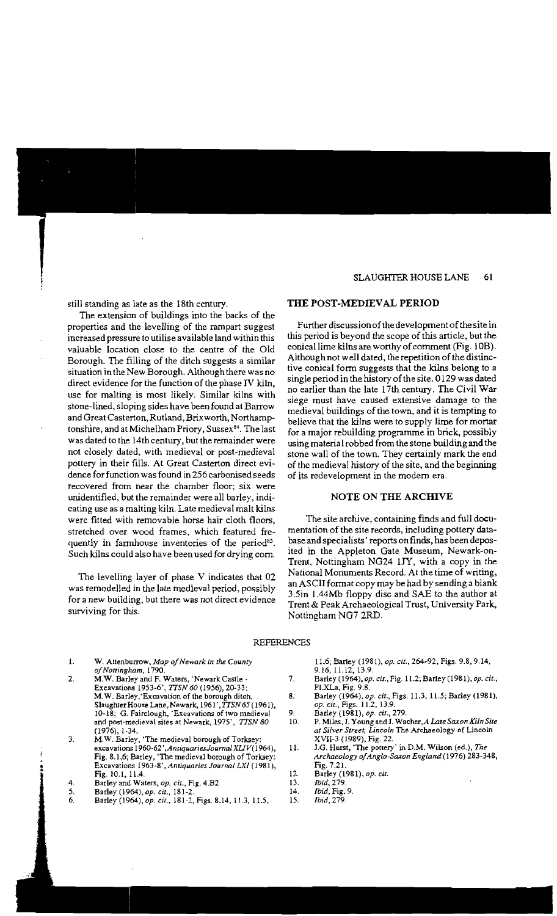still standing as late as the 18th century.

The extension of buildings into the backs of the properties and the levelling of the rampart suggest increased pressure to utilise available land within this valuable location close to the centre of the Old Borough. The filling of the ditch suggests a similar situation in the New Borough. Although there was no direct evidence for the function of the phase IV kiln, use for malting is most likely. Similar kilns with stone-lined, sloping sides have been found at Barrow and Great Casterton, Rutland, Brixworth, Northarnptonshire, and at Michelham Priory, Sussex<sup>84</sup>. The last was dated to the 14th century, but the remainder were not closely dated, with medieval or post-medieval pottery in their fills. At Great Casterton direct evidence for function was found in 256 carbonised seeds recovered from near the chamber floor; six were unidentified, but the remainder were all barley, indicating use as a malting kiln. Late medieval malt kilns were fitted with removable horse hair cloth floors, stretched over wood frames, which featured frequently in farmhouse inventories of the period<sup>85</sup>. Such kilns could also have been used for drying corn.

The levelling layer of phase V indicates that 02 was remodelled in the late medieval period, possibly for a new building, but there was not direct evidence surviving for this.

#### THE POST-MEDIEVAL PERIOD

Further discussion of the development of the site in this period is beyond the scope of this article, but the conical lime kilns are worthy of comment (Fig. lOB). Although not well dated, the repetition of the distinctive conical form suggests that the kilns belong to a single period in the history of the site. 0129 was dated no earlier than the late 17th century. The Civil War siege must have caused extensive damage to the medieval buildings of the town, and it is tempting to believe that the kilns were to supply lime for mortar for a major rebuilding programme in brick, possibly using material robbed from the stone building and the stone wall of the town. They certainly mark the end of the medieval history of the site, and the beginning of its redevelopment in the modern era.

# NOTE ON THE ARCHIVE

The site archive, containing finds and full documentation of the site records, including pottery database and specialists' reports on finds, has been deposited in the Appleton Gate Museum, Newark-on-Trent, Nottingham NG24 UY, with a copy in the National Monuments Record. At the time of writing, an ASCII format copy may be had by sending a blank 3.5in 1.44Mb floppy disc and SAE to the author at Trent & Peak Archaeological Trust, University Park, Nottingham NG7 2RD.

#### REFERENCES

- 1. W. Attenburrow, *Map of Newark in the County a/Nottingham, 1790.*
- 2. M.W. Barley and F. Waters, 'Newark Castle . 7. Excavations 1953-6', *1TSN 60* (1956), 20-33; M.W. Barley, Excavation of the borough ditch, 8. Slaughter House Lane, Newark, 1961', TTSN 65 (1961), 10-18; G. Fairclough, 'Excavations of two medieval 9. and post-medieval sites at Newark, 1975', TTSN 80 10. (1976),1-34.
- 3. M.W. Barley, 'The medieval borough of Torksey: excavations 1960·62'*.AntiquariesJoumal XUV(* 1964), 11. Fig. 8.1,6; Barley, 'The medieval borough of Torksey: Excavations 1963-8'. *Antiquaries Journal LXI* (1981), Fig. 10.1, 11.4. 12.
- 4. Barley and Waters, *op. cit.*, Fig. 4.B2 13.<br>5. Barley (1964) *op. cit*. 181-2 14.
- 5. Barley (1964), *op. cit.*, 181-2.<br>
6. Barley (1964), *op. cit.*, 181-2. Figs. 8.14. 11.3. 11.5. 15.
- 6. Barley (1964), *op. cit.*, 181-2, Figs. 8.14, 11.3, 11.5,

11.6; Barley (1981), *op. cu.,* 264-92, Figs. 9.8,9.14, 9.16,11.12,13.9.

- Barley (1964), *op.* cir., Fig. 11.2; Barley (1981), *op. cit.,*  Pl.XLa, Fig. 9.8.
- Barley (1964), *op. cit.,* Figs. 11.3, 11.5; Barley (1981), *op. cu.,* Figs. 11.2, 13.9.
- Barley (1981), *op. cit.,* 279.
- P.Miles, J. Young and J. Wacher,A *Late Saxon Kiln Site at Silver Street, Lincoln* The Archaeology of Lincoln XVII-3 (1989), Fig. 22.
- J.G. Hurst, 'The pottery' in D.M. Wilson (ed.), *The Archaeology ofAnglo-Saxon England* (1976) 283-348, Fig. 7.21.
- Barley (1981), *op. cit.*
- *Ibid,* 279.
- *Ibid,* Fig. 9.
- *Ibid,* 279.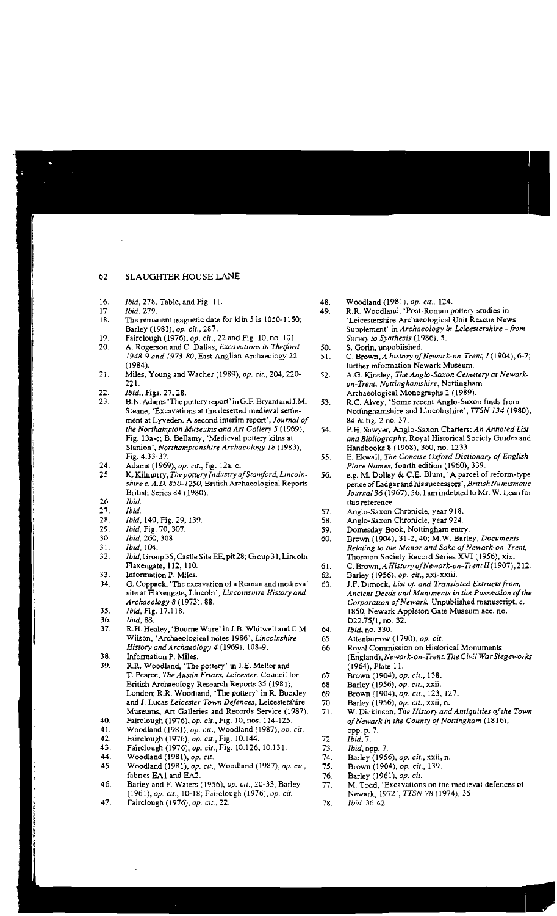- 16. *Ibid*, 278, Table, and Fig. 11. **48. 17.** *Ibid*, 279. **49.**
- 17. *Ibid,* 279. 49.
- 18. The remanent magnetic date for kiln  $5$  is 1050-1150; Barley (1981), *op. cit.,* 2g7.
- 19. Fairclough (1976), *op. cit.*, 22 and Fig. 10, no. 101.<br>20. A. Rogerson and C. Dallas. *Excavations in Thetford*
- A. Rogerson and C. Dallas, *Excavations in Thetford* 50.<br>1948-9 and 1973-80, East Anglian Archaeology 22 51. 1948-9 and 1973-80, East Anglian Archaeology 22 (19g4).
- 21. Miles, Young and Wacher (1989), *op. cit.,* 204, 220- 52. 221.
- 22. *Ibid.*, Figs. 27, 28.<br>23. B.N. Adams 'The p
- B.N. Adams 'The pottery report' in G.F. Bryant and J.M. 53. Steane, 'Excavations at the deserted medieval settlement at Lyveden. A second interim report', *Journal of the Northampton Museums-and Art Gallery* 5 (1969), 54. Fig. l Sa-c; B. Bellamy, 'Medieval pottery kilns at Stenion', *Northamptonshire Archaeology* 18 (1983), Fig. 4.33-37. 55.
- 24. Adams (1969), *op. cit.*, *fig.* 12a, c.<br>25. K. Kilmurry, *The pottery Industry a*
- 25 K. Kilmurry, *The pottery Industry afStamford. Lincoln-* 56. *shire c. A.D. 850-1250,* British Archaeological Reports British Series 84 (1980).
- 26 *Ibid.*
- 27. *Ibid.* 57.
- 28. *Ibid,* 140, Fig. 29, 139. 58.
- 29. *Ibid*, Fig. 70, 307. **59.** 59. **59.** 59. **59.** 59.
- 30. *Ibid*, 260, 308.<br>31. *Ibid*, 104.
- *Ibid*, 104.
- 32. *Ibid,* Group 35, Castle Site EE, pit 28; Group 31, Lincoln Flaxengate, 112, 110. 61. 61. 61. 61.
- 33. Information P. Miles.<br>34. G. Coppack. The exc.
- $G.$  Coppack, 'The excavation of a Roman and medieval  $63$ . site at Flaxengate, Lincoln' , *Lincolnshire History and Archaeology* 8 (1973), 88.
- 35. *Ibid,* Fig. 17.118.
- 36. *Ibid*, 88.<br>37. R.H. Hea
- R.H. Healey, 'Bourne Ware' in J.B. Whitwell and C.M.  $64.$ Wilson, 'Archaeological notes 1986', *Lincolnshire* 65. *History and Archaeology 4* (1969), 108-9. 66.
- 38. Information P. Miles.
- 39. R.R. Woodland, 'The pottery' in I.E. Mellor and T. Pearce, *The Austin Friars. Leicester,* Council for 67. British Archaeology Research Reports 35 (1981), 68.<br>London; R.R. Woodiand, 'The pottery' in R. Buckley 69. London; R.R. Woodland, 'The pottery' in R. Buckley and J. Lucas *Leicester Town Defences*, Leicestershire 70.<br>Museums, Art Galleries and Records Service (1987). 71. Museums, Art Galleries and Records Service (1987).
- 40. Fairclough (1976), *op. cit.,* Fig. 10, nos. 114-125.
- 41. Woodland (1981), *op. cit.,* Woodland (19g7), *op. cit.*
- 42. Fairclough (1976), *op. cit.*, Fig. 10.144. 72.<br>43. Fairclough (1976), *op. cit.*, Fig. 10.126, 10.131. 73.
- 43. Fairclough (1976), *op. cit.*, Fig. 10.126, 10.131. 73.<br>44. Woodland (1981), *op. cit.* 74.
- Woodland (1981), *op. cit.*
- 45. Woodland (1981), *op. cit.,* Woodland (1987), *op. cit.,* 75. fabrics EA1 and EA2. 76
- 46. Barley and F. Waters (1956), *op. cit.,* 20-33; Barley 77. *(1961),op. cit.,* 10·18; Fairclough (1976), *op. cit.*
- 47. Fairclough (1976), *op. cit.*, 22. **78.**
- WOOdland (19g1), *op. cit.; 124.*
- R.R. Woodland, 'Post-Roman pottery studies in 'Leicestershire Archaeological Unit Rescue News Supplement' in *Archaeology in Leicestershire* -*from Survey* (0 *Synthesis* (1986), 5.
- S. Gorin, unpublished.
- C. Brown, *A history ofNewark-on-Trent, 1(1904),6-7;*  further information Newark Museum.
- A.G. Kinsley, *The Anglo-Saxon Cemetery at Newarkon-Trent. Nouinghamshire,*  Nottingham Archaeological Monographs 2 (1989).
- R.C. Alvey, 'Some recent Anglo-Saxon finds from Nottinghamshire and Lincolnshire', TTSN 134 (1980), g4 & fig. 2 no. 37.
- P.H. Sawyer, Anglo-Saxon Charters: *An Annoted List and Bibliography.* Royal Historical Society Guides and Handbooks 8 (1968), 360, no. 1233.
- E. Ekwall, *The Concise Oxford Dictionary of English Place Names.* fourth edition (1960), 339.
- e.g. M. Dolley & C.E. Blunt, 'A parcel of reform-type pence cfEadgar and his successors' *.BritishNumismauc Journal* 36 (1967), 56. I am indebted to Mr. W. Lean for this reference.
- Anglo-Saxon Chronicle, year 918.
- Anglo-Saxon Chronicle, year 924
- Domesday Book, Nottingham entry.
- Brown (1904), 31-2, 40; M.W. Barley, *Documents Relating to the Manor and Soke of Newark-on-Trent,* Thoroton Society Record Series XVI (1956), xix.
- C. Brown, *A History ofNewark-on-TrentII* (1907),212.
- Barley (1956), *op. cu.,* xxi-xxiii.
- J.F. Dimock. List of, and Translated Extracts from, Ancient Deeds and Muniments in the Possession of the Corporation of Newark, Unpublished manuscript, c. 1850. Newark Appleton Gate Museum ace, no. D22.75/1, no. 32.
- *Ibid,* no. 330.
- Attenburrow (1790), *op. cit.*
- Royal Commission on Historical Monuments *(England),Newark.on-Trem, The Civil War Siegeworks*  (1964), Plate 11.
- Brown (1904), *op. cit., 138.*
- Barley (1956), *op. cu..* xxii.
- Brown (1904), *op. cit.,* 123, 127.
- Barley (1956), *op. cit.,* xxii, n.
- W. Dickinson, *The History and Antiquities ofthe Town ofNewark in the County ofNottingham (1816),*  opp. p. 7.
- *Ibid,* 7.
- *Ibid,* opp. 7.
- Barley (1956), *op. cir.,* xxii, n.
- Brown (1904), *op. cii., 139.*
- Barley (1961), *op. cit.*
- M. Todd, 'Excavations on the medieval defences of Newark, 1972', TTSN 78 (1974), 35.
- *Ibid, 36-42.*